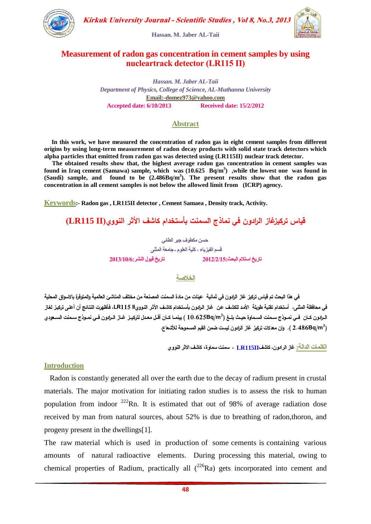

**Hassan. M. Jaber AL-Taii**



## **Measurement of radon gas concentration in cement samples by using nucleartrack detector (LR115 П)**

*Hassan. M. Jaber AL-Taii Department of Physics, College of Science, AL-Muthanna University* **Email:-domez973@yahoo.com Accepted date: 6/10/2013 Received date: 15/2/2012** 

## **Abstract**

 **In this work, we have measured the concentration of radon gas in eight cement samples from different origins by using long-term measurement of radon decay products with solid state track detectors which alpha particles that emitted from radon gas was detected using (LR115II) nuclear track detector.** 

 **The obtained results show that, the highest average radon gas concentration in cement samples was found in Iraq cement (Samawa) sample, which was (10.625 Bq/m<sup>3</sup> ) ,while the lowest one was found in (Saudi) sample, and found to be (2.486Bq/m<sup>3</sup> ). The present results show that the radon gas concentration in all cement samples is not below the allowed limit from (ICRP) agency.** 

**Keywords:- Radon gas , LR115II detector , Cement Samaea , Density track, Activity.**

**قياس تركيزغاز الرادون في نماذج السمنت بأستخدام كاشف األثر النووي)II 115LR)**

**حسي هكطوف جبر الطائً قسن الفٍسٌاء ، كلٍت العلوم ـ جاهعت الوثنى حارٌخ اسخالمالبحث2152/2/51: حارٌخ قبول النشر2152/51/6:**

#### **الخالصة**

 **في هذا البحث تم قياس تركيز غاز الرادون في ثمانية عينات من مادة السمنت المصنعة من مختمف المناشئ العالمية والمتوفرة باالسواق المحمية**  في محافظة المثنى، أستخدام تقنية طويلة الأمد للكشف عن غاز الرابون بأستخدام كاشف الأثر النوويIL R115، فأظهرت النتائج أن أعلى تركيز لغاز الـرادون كــان فــي نمــوذج سـمنت السـماوة حيـث بلــغ (10.625Bq/m<sup>3</sup> ) بينمــا كــان أقـل معـدل لتركيــز غــاز الــرادون فــي نمــوذج سـمنت ال*ســعو*دي **2.486Bq/m 3 (. وان معدالت تركيز غاز الرادون ليست ضمن القيم المسموحة لألشعاع.**

**الكلواث الدالت: غاز الرادوى، كاشفII115LR ، سونج سواوة، كاشف االثر النووي**

#### **Introduction**

 Radon is constantly generated all over the earth due to the decay of radium present in crustal materials. The major motivation for initiating radon studies is to assess the risk to human population from indoor  $222$ Rn. It is estimated that out of 98% of average radiation dose received by man from natural sources, about 52% is due to breathing of radon,thoron, and progeny present in the dwellings[1].

The raw material which is used in production of some cements is containing various amounts of natural radioactive elements. During processing this material, owing to chemical properties of Radium, practically all  $(^{226}Ra)$  gets incorporated into cement and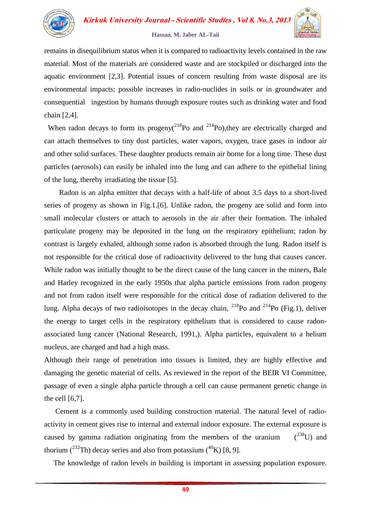

#### **Hassan. M. Jaber AL-Taii**

remains in disequilibrium status when it is compared to radioactivity levels contained in the raw material. Most of the materials are considered waste and are stockpiled or discharged into the aquatic environment [2,3]. Potential issues of concern resulting from waste disposal are its environmental impacts; possible increases in radio-nuclides in soils or in groundwater and consequential ingestion by humans through exposure routes such as drinking water and food chain [2,4].

When radon decays to form its progeny( $^{218}$ Po and  $^{214}$ Po), they are electrically charged and can attach themselves to tiny dust particles, water vapors, oxygen, trace gases in indoor air and other solid surfaces. These daughter products remain air borne for a long time. These dust particles (aerosols) can easily be inhaled into the lung and can adhere to the epithelial lining of the lung, thereby irradiating the tissue [5].

 Radon is an alpha emitter that decays with a half-life of about 3.5 days to a short-lived series of progeny as shown in Fig.1.[6]. Unlike radon, the progeny are solid and form into small molecular clusters or attach to aerosols in the air after their formation. The inhaled particulate progeny may be deposited in the lung on the respiratory epithelium; radon by contrast is largely exhaled, although some radon is absorbed through the lung. Radon itself is not responsible for the critical dose of radioactivity delivered to the lung that causes cancer. While radon was initially thought to be the direct cause of the lung cancer in the miners, Bale and Harley recognized in the early 1950s that alpha particle emissions from radon progeny and not from radon itself were responsible for the critical dose of radiation delivered to the lung. Alpha decays of two radioisotopes in the decay chain,  $^{218}$ Po and  $^{214}$ Po (Fig.1), deliver the energy to target cells in the respiratory epithelium that is considered to cause radonassociated lung cancer (National Research, 1991,). Alpha particles, equivalent to a helium nucleus, are charged and had a high mass.

Although their range of penetration into tissues is limited, they are highly effective and damaging the genetic material of cells. As reviewed in the report of the BEIR VI Committee, passage of even a single alpha particle through a cell can cause permanent genetic change in the cell [6,7].

 Cement is a commonly used building construction material. The natural level of radioactivity in cement gives rise to internal and external indoor exposure. The external exposure is caused by gamma radiation originating from the members of the uranium  $(238)$  and thorium  $(^{232}Th)$  decay series and also from potassium  $(^{40}K)$  [8, 9].

The knowledge of radon levels in building is important in assessing population exposure.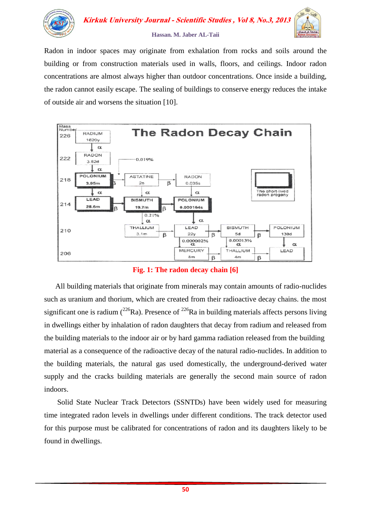

Radon in indoor spaces may originate from exhalation from rocks and soils around the building or from construction materials used in walls, floors, and ceilings. Indoor radon concentrations are almost always higher than outdoor concentrations. Once inside a building, the radon cannot easily escape. The sealing of buildings to conserve energy reduces the intake of outside air and worsens the situation [10].



**Fig. 1: The radon decay chain [6]**

 All building materials that originate from minerals may contain amounts of radio-nuclides such as uranium and thorium, which are created from their radioactive decay chains. the most significant one is radium  $(^{226}Ra)$ . Presence of  $^{226}Ra$  in building materials affects persons living in dwellings either by inhalation of radon daughters that decay from radium and released from the building materials to the indoor air or by hard gamma radiation released from the building material as a consequence of the radioactive decay of the natural radio-nuclides. In addition to the building materials, the natural gas used domestically, the underground-derived water supply and the cracks building materials are generally the second main source of radon indoors.

 Solid State Nuclear Track Detectors (SSNTDs) have been widely used for measuring time integrated radon levels in dwellings under different conditions. The track detector used for this purpose must be calibrated for concentrations of radon and its daughters likely to be found in dwellings.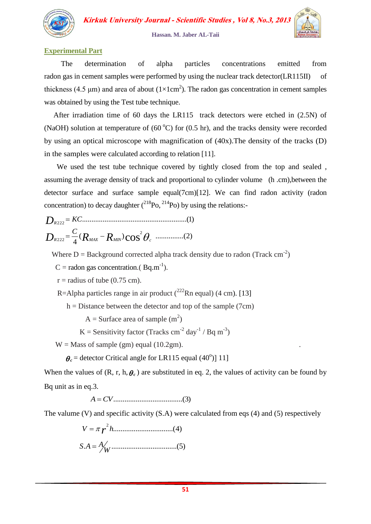

**Hassan. M. Jaber AL-Taii**

### **Experimental Part**

 The determination of alpha particles concentrations emitted from radon gas in cement samples were performed by using the nuclear track detector(LR115II) of thickness (4.5  $\mu$ m) and area of about (1×1cm<sup>2</sup>). The radon gas concentration in cement samples was obtained by using the Test tube technique.

 After irradiation time of 60 days the LR115 track detectors were etched in (2.5N) of (NaOH) solution at temperature of  $(60^{\circ}C)$  for  $(0.5 \text{ hr})$ , and the tracks density were recorded by using an optical microscope with magnification of (40x).The density of the tracks (D) in the samples were calculated according to relation [11].

 We used the test tube technique covered by tightly closed from the top and sealed , assuming the average density of track and proportional to cylinder volume (h .cm),between the detector surface and surface sample equal(7cm)[12]. We can find radon activity (radon concentration) to decay daughter  $({}^{218}P_0, {}^{214}P_0)$  by using the relations:-

( ) ...............(2)  $\frac{C}{4}$  ( $R$ <sub>max</sub> –  $R$ <sub>min</sub>)  $\cos^2$ ........................................................(1) 222 *R D KC*  $D_{\scriptscriptstyle R222}$  =  $\frac{C}{4}$  ( $R_{\scriptscriptstyle M\!X}$  –  $R_{\scriptscriptstyle M\!I\!N}$ )  $\cos^2\theta_c$ 

Where  $D =$  Background corrected alpha track density due to radon (Track cm<sup>-2</sup>)

 $C =$  radon gas concentration.(Bq.m<sup>-1</sup>).

 $r =$  radius of tube (0.75 cm).

R=Alpha particles range in air product  $(^{222}$ Rn equal) (4 cm). [13]

 $h = Distance$  between the detector and top of the sample (7cm)

 $A =$ Surface area of sample  $(m<sup>2</sup>)$ 

K = Sensitivity factor (Tracks cm<sup>-2</sup> day<sup>-1</sup> / Bq m<sup>-3</sup>)

 $W =$  Mass of sample (gm) equal (10.2gm).

 $\theta_c$  = detector Critical angle for LR115 equal (40<sup>o</sup>)] 11]

When the values of  $(R, r, h, \theta_c)$  are substituted in eq. 2, the values of activity can be found by Bq unit as in eq.3.

*A CV*.....................................(3)

The valume (V) and specific activity (S.A) were calculated from eqs (4) and (5) respectively

$$
V = \pi r^{2} h
$$
 (4)  

$$
S.A = A_{W}
$$
 (5)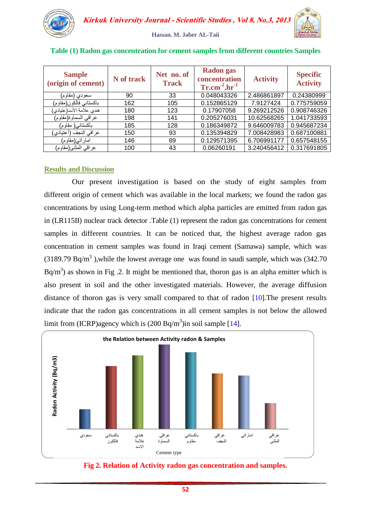

|  |  | Hassan. M. Jaber AL-Taii |  |
|--|--|--------------------------|--|
|  |  |                          |  |

| <b>Sample</b><br>(origin of cement) | N of track | Net no. of<br><b>Track</b> | <b>Radon</b> gas<br>concentration<br>$Tr.cm^{-2}.hr^{-1}$ | <b>Activity</b> | <b>Specific</b><br><b>Activity</b> |
|-------------------------------------|------------|----------------------------|-----------------------------------------------------------|-----------------|------------------------------------|
| سعودي (مقاوم)                       | 90         | 33                         | 0.048043326                                               | 2.486861897     | 0.24380999                         |
| باكستاني فالكون(مقاوم)              | 162        | 105                        | 0.152865129                                               | 7.9127424       | 0.775759059                        |
| هندي علامة الأسد(عتيادي)            | 180        | 123                        | 0.17907058                                                | 9.269212526     | 0.908746326                        |
| عراقي السماوة(مقاوم)                | 198        | 141                        | 0.205276031                                               | 10.62568265     | 1.041733593                        |
| باكستاني( مقاوم)                    | 185        | 128                        | 0.186349872                                               | 9.646009783     | 0.945687234                        |
| عراقي النجف (أعتيادي)               | 150        | 93                         | 0.135394829                                               | 7.008428983     | 0.687100881                        |
| اماراتي(مقاوم)                      | 146        | 89                         | 0.129571395                                               | 6.706991177     | 0.657548155                        |
| عراقي المثنى(مقاوم)                 | 100        | 43                         | 0.06260191                                                | 3.240456412     | 0.317691805                        |

#### **Table (1) Radon gas concentration for cement samples from different countries Samples**

## **Results and Discussion**

 Our present investigation is based on the study of eight samples from different origin of cement which was available in the local markets; we found the radon gas concentrations by using Long-term method which alpha particles are emitted from radon gas in (LR115II) nuclear track detector .Table (1) represent the radon gas concentrations for cement samples in different countries. It can be noticed that, the highest average radon gas concentration in cement samples was found in Iraqi cement (Samawa) sample, which was (3189.79 Bq/m<sup>3</sup>), while the lowest average one was found in saudi sample, which was (342.70) Bq/m<sup>3</sup>) as shown in Fig .2. It might be mentioned that, thoron gas is an alpha emitter which is also present in soil and the other investigated materials. However, the average diffusion distance of thoron gas is very small compared to that of radon [10].The present results indicate that the radon gas concentrations in all cement samples is not below the allowed limit from (ICRP)agency which is  $(200 \text{ Bq/m}^3)$ in soil sample [14].



**Fig 2. Relation of Activity radon gas concentration and samples.**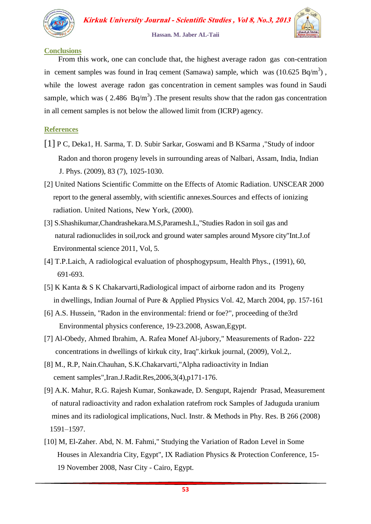

#### **Hassan. M. Jaber AL-Taii**

#### **Conclusions**

 From this work, one can conclude that, the highest average radon gas con-centration in cement samples was found in Iraq cement (Samawa) sample, which was  $(10.625 Bq/m<sup>3</sup>)$ , while the lowest average radon gas concentration in cement samples was found in Saudi sample, which was (2.486  $Bq/m<sup>3</sup>$ ). The present results show that the radon gas concentration in all cement samples is not below the allowed limit from (ICRP) agency.

### **References**

- [1] P C, Deka1, H. Sarma, T. D. Subir Sarkar, Goswami and B KSarma ,"Study of indoor Radon and thoron progeny levels in surrounding areas of Nalbari, Assam, India, Indian J. Phys. (2009), 83 (7), 1025-1030.
- [2] United Nations Scientific Committe on the Effects of Atomic Radiation. UNSCEAR 2000 report to the general assembly, with scientific annexes.Sources and effects of ionizing radiation. United Nations, New York, (2000).
- [3] S.Shashikumar,Chandrashekara.M.S,Paramesh.L,"Studies Radon in soil gas and natural radionuclides in soil,rock and ground water samples around Mysore city"Int.J.of Environmental science 2011, Vol, 5.
- [4] T.P.Laich, A radiological evaluation of phosphogypsum, Health Phys., (1991), 60, 691-693.
- [5] K Kanta & S K Chakarvarti,Radiological impact of airborne radon and its Progeny in dwellings, Indian Journal of Pure & Applied Physics Vol. 42, March 2004, pp. 157-161
- [6] A.S. Hussein, "Radon in the environmental: friend or foe?", proceeding of the3rd Environmental physics conference, 19-23.2008, Aswan,Egypt.
- [7] Al-Obedy, Ahmed Ibrahim, A. Rafea Monef Al-jubory," Measurements of Radon- 222 concentrations in dwellings of kirkuk city, Iraq".kirkuk journal, (2009), Vol.2,.
- [8] M., R.P, Nain.Chauhan, S.K.Chakarvarti,"Alpha radioactivity in Indian cement samples",Iran.J.Radit.Res,2006,3(4),p171-176.
- [9] A.K. Mahur, R.G. Rajesh Kumar, Sonkawade, D. Sengupt, Rajendr Prasad, Measurement of natural radioactivity and radon exhalation ratefrom rock Samples of Jaduguda uranium mines and its radiological implications, Nucl. Instr. & Methods in Phy. Res. B 266 (2008) 1591–1597.
- [10] M, El-Zaher. Abd, N. M. Fahmi," Studying the Variation of Radon Level in Some Houses in Alexandria City, Egypt", IX Radiation Physics & Protection Conference, 15- 19 November 2008, Nasr City - Cairo, Egypt.